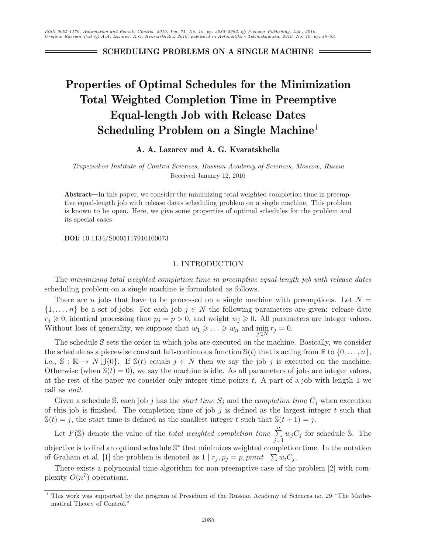**SCHEDULING PROBLEMS ON A SINGLE MACHINE**

# **Properties of Optimal Schedules for the Minimization Total Weighted Completion Time in Preemptive Equal-length Job with Release Dates Scheduling Problem on a Single Machine**<sup>1</sup>

# **A. A. Lazarev and A. G. Kvaratskhelia**

*Trapeznikov Institute of Control Sciences, Russian Academy of Sciences, Moscow, Russia* Received January 12, 2010

**Abstract—**In this paper, we consider the minimizing total weighted completion time in preemptive equal-length job with release dates scheduling problem on a single machine. This problem is known to be open. Here, we give some properties of optimal schedules for the problem and its special cases.

**DOI:** 10.1134/S0005117910100073

# 1. INTRODUCTION

The *minimizing total weighted completion time in preemptive equal-length job with release dates* scheduling problem on a single machine is formulated as follows.

There are n jobs that have to be processed on a single machine with preemptions. Let  $N =$  $\{1,\ldots,n\}$  be a set of jobs. For each job  $j \in N$  the following parameters are given: release date  $r_j \geq 0$ , identical processing time  $p_j = p > 0$ , and weight  $w_j \geq 0$ . All parameters are integer values. Without loss of generality, we suppose that  $w_1 \geqslant \ldots \geqslant w_n$  and  $\min_{j \in N} r_j = 0$ .

The schedule S sets the order in which jobs are executed on the machine. Basically, we consider the schedule as a piecewise constant left-continuous function  $\mathbb{S}(t)$  that is acting from  $\mathbb{R}$  to  $\{0,\ldots,n\}$ , i.e.,  $\mathbb{S}: \mathbb{R} \to N \cup \{0\}$ . If  $\mathbb{S}(t)$  equals  $j \in N$  then we say the job j is executed on the machine. Otherwise (when  $\mathbb{S}(t) = 0$ ), we say the machine is idle. As all parameters of jobs are integer values, at the rest of the paper we consider only integer time points  $t$ . A part of a job with length 1 we call as *unit*.

Given a schedule S, each job j has the *start time*  $S_j$  and the *completion time*  $C_j$  when execution of this job is finished. The completion time of job  $j$  is defined as the largest integer  $t$  such that  $\mathbb{S}(t) = j$ , the start time is defined as the smallest integer t such that  $\mathbb{S}(t+1) = j$ .

Let  $F(\mathbb{S})$  denote the value of the *total weighted completion time*  $\sum_{n=1}^{\infty}$  $\sum_{j=1}^{n} w_j C_j$  for schedule S. The objective is to find an optimal schedule S<sup>∗</sup> that minimizes weighted completion time. In the notation of Graham et al. [1] the problem is denoted as  $1 | r_j, p_j = p$ , pmnt  $| \sum w_i C_j$ .

There exists a polynomial time algorithm for non-preemptive case of the problem [2] with complexity  $O(n^7)$  operations.

<sup>&</sup>lt;sup>1</sup> This work was supported by the program of Presidium of the Russian Academy of Sciences no. 29 "The Mathematical Theory of Control."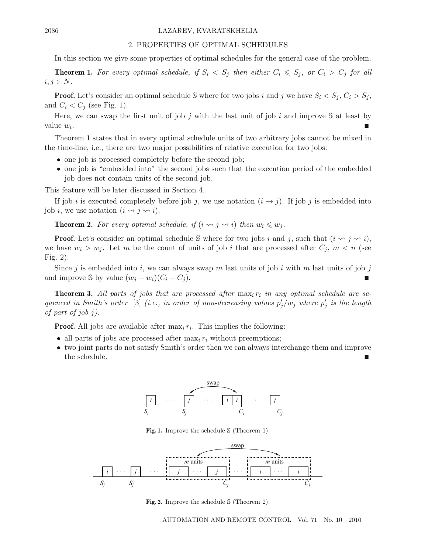#### 2086 LAZAREV, KVARATSKHELIA

#### 2. PROPERTIES OF OPTIMAL SCHEDULES

In this section we give some properties of optimal schedules for the general case of the problem.

**Theorem 1.** For every optimal schedule, if  $S_i < S_j$  then either  $C_i \leq S_j$ , or  $C_i > C_j$  for all  $i, j \in N$ .

**Proof.** Let's consider an optimal schedule S where for two jobs i and j we have  $S_i < S_j$ ,  $C_i > S_j$ , and  $C_i < C_j$  (see Fig. 1).

Here, we can swap the first unit of job j with the last unit of job i and improve  $S$  at least by value  $w_i$ .

Theorem 1 states that in every optimal schedule units of two arbitrary jobs cannot be mixed in the time-line, i.e., there are two major possibilities of relative execution for two jobs:

- one job is processed completely before the second job;
- one job is "embedded into" the second jobs such that the execution period of the embedded job does not contain units of the second job.

This feature will be later discussed in Section 4.

If job i is executed completely before job j, we use notation  $(i \rightarrow j)$ . If job j is embedded into job *i*, we use notation  $(i \leadsto j \leadsto i)$ .

**Theorem 2.** For every optimal schedule, if  $(i \leadsto j \leadsto i)$  then  $w_i \leqslant w_j$ .

**Proof.** Let's consider an optimal schedule S where for two jobs i and j, such that  $(i \leadsto j \leadsto i)$ , we have  $w_i > w_j$ . Let m be the count of units of job i that are processed after  $C_j$ ,  $m < n$  (see Fig. 2).

Since j is embedded into i, we can always swap m last units of job i with m last units of job j and improve S by value  $(w_i - w_i)(C_i - C_j)$ .

**Theorem 3.** All parts of jobs that are processed after  $\max_i r_i$  in any optimal schedule are se*quenced in Smith's order* [3] *(i.e., in order of non-decreasing values*  $p'_j/w_j$  *where*  $p'_j$  *is the length of part of job* j*).*

**Proof.** All jobs are available after  $\max_i r_i$ . This implies the following:

- all parts of jobs are processed after  $\max_i r_i$  without preemptions;
- two joint parts do not satisfy Smith's order then we can always interchange them and improve the schedule.



**Fig. 1.** Improve the schedule S (Theorem 1).



**Fig. 2.** Improve the schedule S (Theorem 2).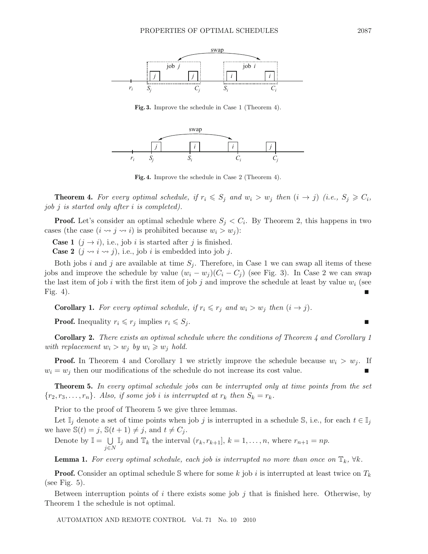

**Fig. 3.** Improve the schedule in Case 1 (Theorem 4).



**Fig. 4.** Improve the schedule in Case 2 (Theorem 4).

**Theorem 4.** For every optimal schedule, if  $r_i \leq S_j$  and  $w_i > w_j$  then  $(i \rightarrow j)$  (i.e.,  $S_j \geq C_i$ , *job* j *is started only after* i *is completed).*

**Proof.** Let's consider an optimal schedule where  $S_j < C_i$ . By Theorem 2, this happens in two cases (the case  $(i \leadsto j \leadsto i)$  is prohibited because  $w_i > w_j$ ):

**Case 1**  $(j \rightarrow i)$ , i.e., job i is started after j is finished.

**Case 2**  $(j \rightsquigarrow i \rightsquigarrow j)$ , i.e., job *i* is embedded into job *j*.

Both jobs i and j are available at time  $S_j$ . Therefore, in Case 1 we can swap all items of these jobs and improve the schedule by value  $(w_i - w_j)(C_i - C_j)$  (see Fig. 3). In Case 2 we can swap the last item of job i with the first item of job j and improve the schedule at least by value  $w_i$  (see Fig. 4).

**Corollary 1.** For every optimal schedule, if  $r_i \leq r_j$  and  $w_i > w_j$  then  $(i \rightarrow j)$ .

**Proof.** Inequality  $r_i \leq r_j$  implies  $r_i \leq S_j$ .

**Corollary 2.** *There exists an optimal schedule where the conditions of Theorem 4 and Corollary 1 with replacement*  $w_i > w_j$  *by*  $w_i \geq w_j$  *hold.* 

**Proof.** In Theorem 4 and Corollary 1 we strictly improve the schedule because  $w_i > w_j$ . If  $w_i = w_j$  then our modifications of the schedule do not increase its cost value.

**Theorem 5.** *In every optimal schedule jobs can be interrupted only at time points from the set*  ${r_2, r_3, \ldots, r_n}$ *. Also, if some job i is interrupted at*  $r_k$  *then*  $S_k = r_k$ *.* 

Prior to the proof of Theorem 5 we give three lemmas.

Let  $\mathbb{I}_j$  denote a set of time points when job j is interrupted in a schedule S, i.e., for each  $t \in \mathbb{I}_j$ we have  $\mathbb{S}(t) = j$ ,  $\mathbb{S}(t+1) \neq j$ , and  $t \neq C_j$ .

Denote by  $\mathbb{I} = \bigcup$ *j*∈*N*  $\mathbb{I}_j$  and  $\mathbb{T}_k$  the interval  $(r_k, r_{k+1}], k = 1, \ldots, n$ , where  $r_{n+1} = np$ .

**Lemma 1.** For every optimal schedule, each job is interrupted no more than once on  $\mathbb{T}_k$ ,  $\forall k$ .

**Proof.** Consider an optimal schedule S where for some k job i is interrupted at least twice on  $T_k$ (see Fig. 5).

Between interruption points of i there exists some job j that is finished here. Otherwise, by Theorem 1 the schedule is not optimal.

AUTOMATION AND REMOTE CONTROL Vol. 71 No. 10 2010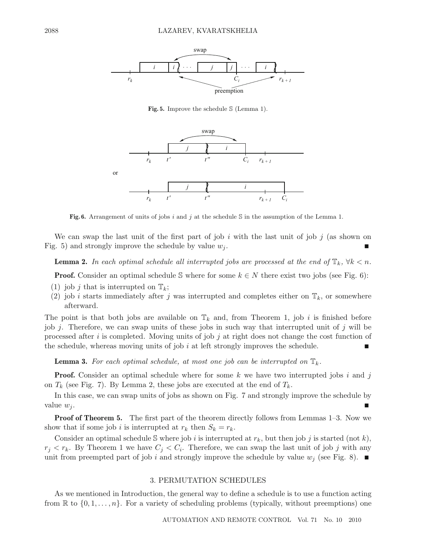

**Fig. 5.** Improve the schedule S (Lemma 1).



**Fig. 6.** Arrangement of units of jobs *i* and *j* at the schedule S in the assumption of the Lemma 1.

We can swap the last unit of the first part of job i with the last unit of job j (as shown on Fig. 5) and strongly improve the schedule by value  $w_i$ .

**Lemma 2.** *In each optimal schedule all interrupted jobs are processed at the end of*  $\mathbb{T}_k$ *,*  $\forall k < n$ *.* 

**Proof.** Consider an optimal schedule S where for some  $k \in N$  there exist two jobs (see Fig. 6):

- (1) job j that is interrupted on  $\mathbb{T}_k$ ;
- (2) job *i* starts immediately after *j* was interrupted and completes either on  $\mathbb{T}_k$ , or somewhere afterward.

The point is that both jobs are available on  $\mathbb{T}_k$  and, from Theorem 1, job i is finished before job j. Therefore, we can swap units of these jobs in such way that interrupted unit of j will be processed after i is completed. Moving units of job j at right does not change the cost function of the schedule, whereas moving units of job  $i$  at left strongly improves the schedule.

**Lemma 3.** For each optimal schedule, at most one job can be interrupted on  $\mathbb{T}_k$ .

**Proof.** Consider an optimal schedule where for some k we have two interrupted jobs i and j on  $T_k$  (see Fig. 7). By Lemma 2, these jobs are executed at the end of  $T_k$ .

In this case, we can swap units of jobs as shown on Fig. 7 and strongly improve the schedule by value  $w_j$ .

**Proof of Theorem 5.** The first part of the theorem directly follows from Lemmas 1–3. Now we show that if some job i is interrupted at  $r_k$  then  $S_k = r_k$ .

Consider an optimal schedule S where job i is interrupted at  $r_k$ , but then job j is started (not k),  $r_j < r_k$ . By Theorem 1 we have  $C_j < C_i$ . Therefore, we can swap the last unit of job j with any unit from preempted part of job i and strongly improve the schedule by value  $w_j$  (see Fig. 8).

# 3. PERMUTATION SCHEDULES

As we mentioned in Introduction, the general way to define a schedule is to use a function acting from  $\mathbb{R}$  to  $\{0, 1, \ldots, n\}$ . For a variety of scheduling problems (typically, without preemptions) one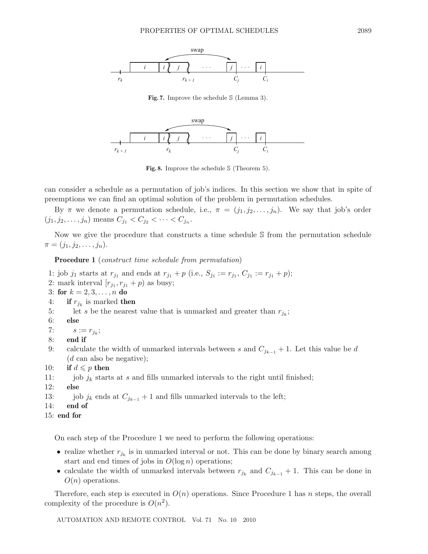

**Fig. 7.** Improve the schedule S (Lemma 3).



**Fig. 8.** Improve the schedule S (Theorem 5).

can consider a schedule as a permutation of job's indices. In this section we show that in spite of preemptions we can find an optimal solution of the problem in permutation schedules.

By  $\pi$  we denote a permutation schedule, i.e.,  $\pi = (j_1, j_2, \ldots, j_n)$ . We say that job's order  $(j_1, j_2, \ldots, j_n)$  means  $C_{j_1} < C_{j_2} < \cdots < C_{j_n}$ .

Now we give the procedure that constructs a time schedule S from the permutation schedule  $\pi = (j_1, j_2, \ldots, j_n).$ 

**Procedure 1** (*construct time schedule from permutation*)

- 1: job  $j_1$  starts at  $r_{j_1}$  and ends at  $r_{j_1} + p$  (i.e.,  $S_{j_1} := r_{j_1}, C_{j_1} := r_{j_1} + p$ );
- 2: mark interval  $[r_{j_1}, r_{j_1} + p]$  as busy;
- 3: **for**  $k = 2, 3, ..., n$  **do**
- 4: **if**  $r_{j_k}$  is marked **then**
- 5: let s be the nearest value that is unmarked and greater than  $r_{j_k}$ ;
- 6: **else**

```
7: s := r_{j_k};
```
- 8: **end if**
- 9: calculate the width of unmarked intervals between s and  $C_{j_{k-1}} + 1$ . Let this value be d  $(d \text{ can also be negative});$
- 10: **if**  $d \leqslant p$  **then**
- 11: job  $j_k$  starts at s and fills unmarked intervals to the right until finished;
- 12: **else**
- 13: job  $j_k$  ends at  $C_{j_{k-1}} + 1$  and fills unmarked intervals to the left;<br>14: **end of**
- end of

```
15: end for
```
On each step of the Procedure 1 we need to perform the following operations:

- realize whether  $r_{j_k}$  is in unmarked interval or not. This can be done by binary search among start and end times of jobs in  $O(\log n)$  operations;
- calculate the width of unmarked intervals between  $r_{j_k}$  and  $C_{j_{k-1}} + 1$ . This can be done in  $O(n)$  operations.

Therefore, each step is executed in  $O(n)$  operations. Since Procedure 1 has n steps, the overall complexity of the procedure is  $O(n^2)$ .

AUTOMATION AND REMOTE CONTROL Vol. 71 No. 10 2010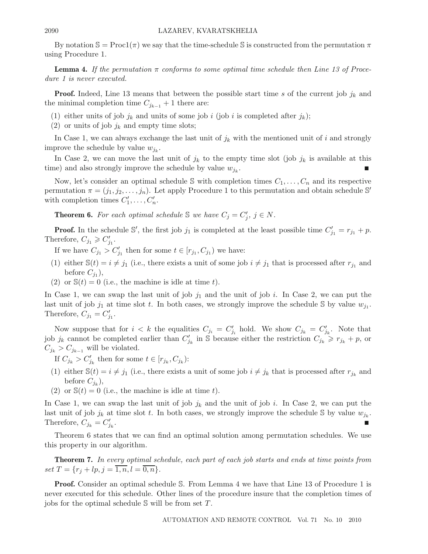By notation  $\mathbb{S} = \text{Proc1}(\pi)$  we say that the time-schedule S is constructed from the permutation  $\pi$ using Procedure 1.

**Lemma 4.** If the permutation  $\pi$  conforms to some optimal time schedule then Line 13 of Proce*dure 1 is never executed.*

**Proof.** Indeed, Line 13 means that between the possible start time s of the current job  $j_k$  and the minimal completion time  $C_{j_{k-1}} + 1$  there are:

- (1) either units of job  $j_k$  and units of some job i (job i is completed after  $j_k$ );
- (2) or units of job  $j_k$  and empty time slots;

In Case 1, we can always exchange the last unit of  $j_k$  with the mentioned unit of i and strongly improve the schedule by value  $w_{j_k}$ .

In Case 2, we can move the last unit of  $j_k$  to the empty time slot (job  $j_k$  is available at this time) and also strongly improve the schedule by value  $w_{j_k}$ .

Now, let's consider an optimal schedule  $\mathcal S$  with completion times  $C_1,\ldots,C_n$  and its respective permutation  $\pi = (j_1, j_2, \ldots, j_n)$ . Let apply Procedure 1 to this permutation and obtain schedule S' with completion times  $C'_1, \ldots, C'_n$ .

**Theorem 6.** For each optimal schedule S we have  $C_j = C'_j$ ,  $j \in N$ .

**Proof.** In the schedule S', the first job  $j_1$  is completed at the least possible time  $C'_{j_1} = r_{j_1} + p$ . Therefore,  $C_{j_1} \geqslant C'_{j_1}$ .

If we have  $C_{j_1} > C'_{j_1}$  then for some  $t \in [r_{j_1}, C_{j_1})$  we have:

- (1) either  $\mathbb{S}(t) = i \neq j_1$  (i.e., there exists a unit of some job  $i \neq j_1$  that is processed after  $r_{j_1}$  and before  $C_{i_1}$ ),
- (2) or  $\mathbb{S}(t) = 0$  (i.e., the machine is idle at time t).

In Case 1, we can swap the last unit of job  $j_1$  and the unit of job i. In Case 2, we can put the last unit of job  $j_1$  at time slot t. In both cases, we strongly improve the schedule S by value  $w_{j_1}$ . Therefore,  $C_{j_1} = C'_{j_1}$ .

Now suppose that for  $i < k$  the equalities  $C_{j_i} = C'_{j_i}$  hold. We show  $C_{j_k} = C'_{j_k}$ . Note that job  $j_k$  cannot be completed earlier than  $C'_{j_k}$  in S because either the restriction  $C_{j_k} \geq r_{j_k} + p$ , or  $C_{j_k} > C_{j_{k-1}}$  will be violated.

If  $C_{j_k} > C'_{j_k}$  then for some  $t \in [r_{j_k}, C_{j_k})$ :

- (1) either  $\mathbb{S}(t) = i \neq j_1$  (i.e., there exists a unit of some job  $i \neq j_k$  that is processed after  $r_{j_k}$  and before  $C_{i_k}$ ),
- (2) or  $\mathbb{S}(t) = 0$  (i.e., the machine is idle at time t).

In Case 1, we can swap the last unit of job  $j_k$  and the unit of job i. In Case 2, we can put the last unit of job  $j_k$  at time slot t. In both cases, we strongly improve the schedule S by value  $w_{j_k}$ . Therefore,  $C_{j_k} = C'_{i_k}$ .  $j_k$  .

Theorem 6 states that we can find an optimal solution among permutation schedules. We use this property in our algorithm.

**Theorem 7.** *In every optimal schedule, each part of each job starts and ends at time points from set*  $T = \{r_j + lp, j = \overline{1, n}, l = \overline{0, n}\}.$ 

**Proof.** Consider an optimal schedule S. From Lemma 4 we have that Line 13 of Procedure 1 is never executed for this schedule. Other lines of the procedure insure that the completion times of jobs for the optimal schedule  $\mathcal S$  will be from set  $T$ .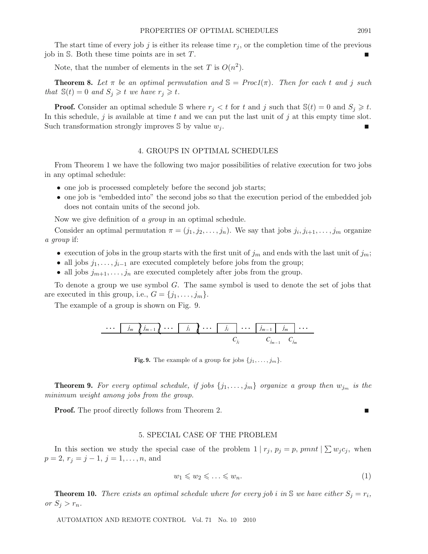The start time of every job j is either its release time  $r_j$ , or the completion time of the previous job in  $S$ . Both these time points are in set  $T$ .

Note, that the number of elements in the set T is  $O(n^2)$ .

**Theorem 8.** Let  $\pi$  be an optimal permutation and  $\mathbb{S} = \text{Proc1}(\pi)$ . Then for each t and j such *that*  $\mathbb{S}(t) = 0$  *and*  $S_j \geq t$  *we have*  $r_j \geq t$ *.* 

**Proof.** Consider an optimal schedule S where  $r_j < t$  for t and j such that  $\mathbb{S}(t) = 0$  and  $S_j \geq t$ . In this schedule, j is available at time t and we can put the last unit of j at this empty time slot. Such transformation strongly improves  $\mathcal S$  by value  $w_i$ .

### 4. GROUPS IN OPTIMAL SCHEDULES

From Theorem 1 we have the following two major possibilities of relative execution for two jobs in any optimal schedule:

- one job is processed completely before the second job starts;
- one job is "embedded into" the second jobs so that the execution period of the embedded job does not contain units of the second job.

Now we give definition of *a group* in an optimal schedule.

Consider an optimal permutation  $\pi = (j_1, j_2, \ldots, j_n)$ . We say that jobs  $j_i, j_{i+1}, \ldots, j_m$  organize *a group* if:

- execution of jobs in the group starts with the first unit of  $j_m$  and ends with the last unit of  $j_m$ ;
- all jobs  $j_1, \ldots, j_{i-1}$  are executed completely before jobs from the group;
- all jobs  $j_{m+1},...,j_n$  are executed completely after jobs from the group.

To denote a group we use symbol  $G$ . The same symbol is used to denote the set of jobs that are executed in this group, i.e.,  $G = \{j_1, \ldots, j_m\}.$ 

The example of a group is shown on Fig. 9.

$$
\cdots \quad j_m \quad j_{m-1} \quad \cdots \quad j_i \quad \cdots \quad j_i \quad \cdots \quad j_{m-1} \quad j_m \quad \cdots
$$

$$
C_{j_i} \qquad C_{j_{m-1}} \quad C_{j_m}
$$

**Fig. 9.** The example of a group for jobs  $\{j_1, \ldots, j_m\}$ .

**Theorem 9.** For every optimal schedule, if jobs  $\{j_1, \ldots, j_m\}$  organize a group then  $w_{j_m}$  is the *minimum weight among jobs from the group.*

**Proof.** The proof directly follows from Theorem 2.

# 5. SPECIAL CASE OF THE PROBLEM

In this section we study the special case of the problem  $1 | r_j, p_j = p$ , pmnt  $| \sum w_j c_j|$ , when  $p = 2, r_j = j - 1, j = 1, \ldots, n$ , and

$$
w_1 \leqslant w_2 \leqslant \ldots \leqslant w_n. \tag{1}
$$

**Theorem 10.** *There exists an optimal schedule where for every job i in* S *we have either*  $S_j = r_i$ , or  $S_j > r_n$ .

AUTOMATION AND REMOTE CONTROL Vol. 71 No. 10 2010